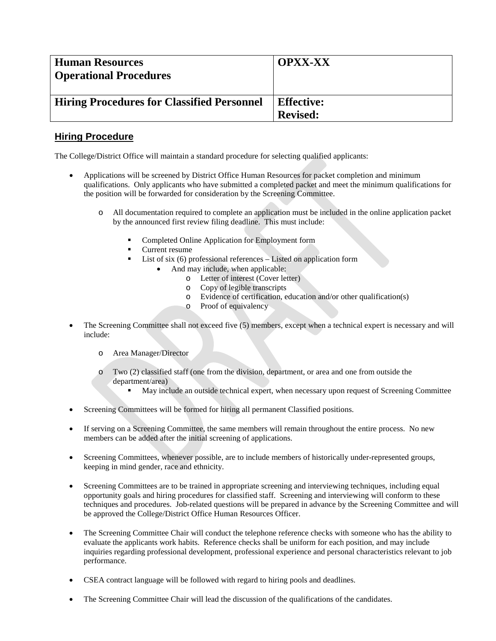| <b>Human Resources</b><br><b>Operational Procedures</b> | <b>OPXX-XX</b>    |
|---------------------------------------------------------|-------------------|
| <b>Hiring Procedures for Classified Personnel</b>       | <b>Effective:</b> |
|                                                         | <b>Revised:</b>   |

## **Hiring Procedure**

The College/District Office will maintain a standard procedure for selecting qualified applicants:

- Applications will be screened by District Office Human Resources for packet completion and minimum qualifications. Only applicants who have submitted a completed packet and meet the minimum qualifications for the position will be forwarded for consideration by the Screening Committee.
	- o All documentation required to complete an application must be included in the online application packet by the announced first review filing deadline. This must include:
		- Completed Online Application for Employment form
		- **Current resume**
		- **List of six (6) professional references** Listed on application form
			- And may include, when applicable:
				- o Letter of interest (Cover letter)
				- o Copy of legible transcripts
				- o Evidence of certification, education and/or other qualification(s)
				- o Proof of equivalency
- The Screening Committee shall not exceed five (5) members, except when a technical expert is necessary and will include:
	- o Area Manager/Director
	- o Two (2) classified staff (one from the division, department, or area and one from outside the department/area)
		- May include an outside technical expert, when necessary upon request of Screening Committee
- Screening Committees will be formed for hiring all permanent Classified positions.
- If serving on a Screening Committee, the same members will remain throughout the entire process. No new members can be added after the initial screening of applications.
- Screening Committees, whenever possible, are to include members of historically under-represented groups, keeping in mind gender, race and ethnicity.
- Screening Committees are to be trained in appropriate screening and interviewing techniques, including equal opportunity goals and hiring procedures for classified staff. Screening and interviewing will conform to these techniques and procedures. Job-related questions will be prepared in advance by the Screening Committee and will be approved the College/District Office Human Resources Officer.
- The Screening Committee Chair will conduct the telephone reference checks with someone who has the ability to evaluate the applicants work habits. Reference checks shall be uniform for each position, and may include inquiries regarding professional development, professional experience and personal characteristics relevant to job performance.
- CSEA contract language will be followed with regard to hiring pools and deadlines.
- The Screening Committee Chair will lead the discussion of the qualifications of the candidates.